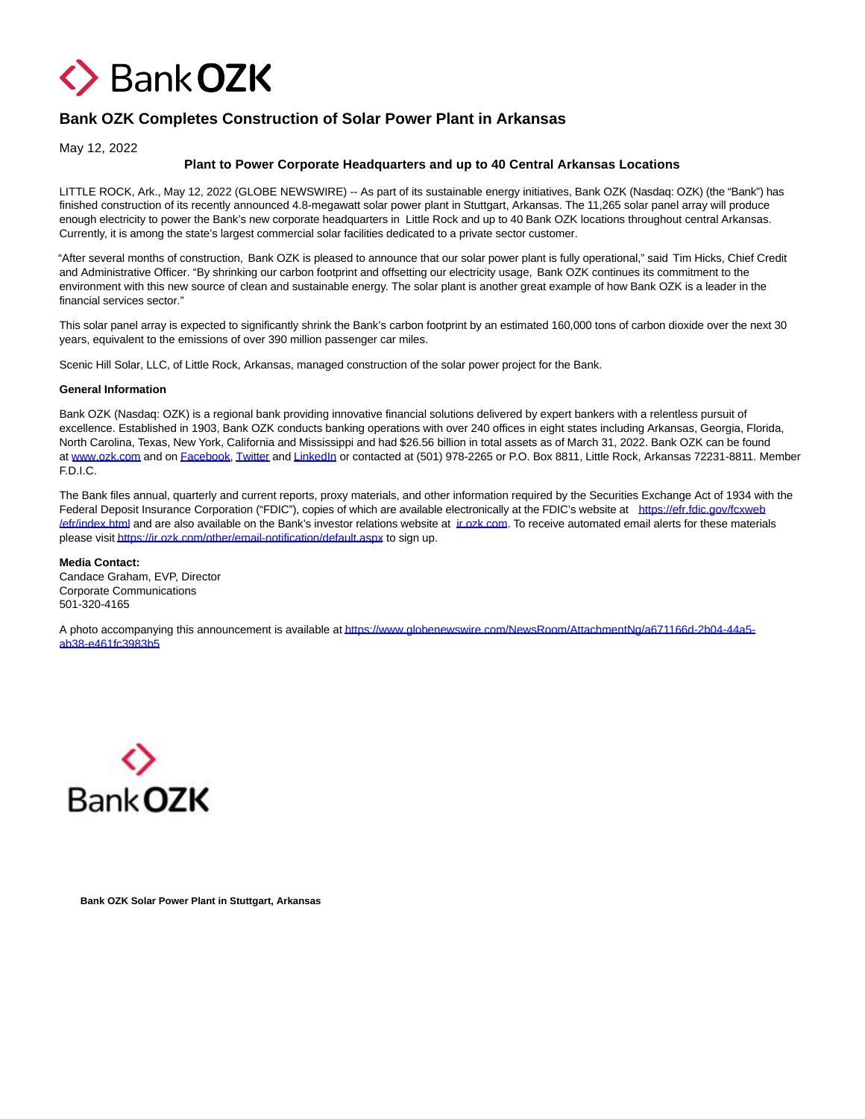

## **Bank OZK Completes Construction of Solar Power Plant in Arkansas**

May 12, 2022

## **Plant to Power Corporate Headquarters and up to 40 Central Arkansas Locations**

LITTLE ROCK, Ark., May 12, 2022 (GLOBE NEWSWIRE) -- As part of its sustainable energy initiatives, Bank OZK (Nasdaq: OZK) (the "Bank") has finished construction of its recently announced 4.8-megawatt solar power plant in Stuttgart, Arkansas. The 11,265 solar panel array will produce enough electricity to power the Bank's new corporate headquarters in Little Rock and up to 40 Bank OZK locations throughout central Arkansas. Currently, it is among the state's largest commercial solar facilities dedicated to a private sector customer.

"After several months of construction, Bank OZK is pleased to announce that our solar power plant is fully operational," said Tim Hicks, Chief Credit and Administrative Officer. "By shrinking our carbon footprint and offsetting our electricity usage, Bank OZK continues its commitment to the environment with this new source of clean and sustainable energy. The solar plant is another great example of how Bank OZK is a leader in the financial services sector."

This solar panel array is expected to significantly shrink the Bank's carbon footprint by an estimated 160,000 tons of carbon dioxide over the next 30 years, equivalent to the emissions of over 390 million passenger car miles.

Scenic Hill Solar, LLC, of Little Rock, Arkansas, managed construction of the solar power project for the Bank.

## **General Information**

Bank OZK (Nasdaq: OZK) is a regional bank providing innovative financial solutions delivered by expert bankers with a relentless pursuit of excellence. Established in 1903, Bank OZK conducts banking operations with over 240 offices in eight states including Arkansas, Georgia, Florida, North Carolina, Texas, New York, California and Mississippi and had \$26.56 billion in total assets as of March 31, 2022. Bank OZK can be found at [www.ozk.com a](https://www.globenewswire.com/Tracker?data=JtbqkEXrhF8zcQbnkvPHCBh8E38wJe7aP3eX4rI8guKJXswHNoyDA68JAtBC9cht7ss2ZEeO2aJIW42XlQqYIg==)nd on [Facebook,](https://www.globenewswire.com/Tracker?data=RxE6d44VA5nJmi_KNaqvi4M3kIMwxPCEadCRyHSXecc8uGhi9wLOZeyGOVjYsnobEJxFLUzM_jjopbTkSGP3YQ==) [Twitter a](https://www.globenewswire.com/Tracker?data=Iwtf5IGkxqDTQ0AOzmUPFmXnNfD0qgQ4slfzsw__ko9zBk6FgllYnGucCh_ROiqoETm1G1nqtCaGUC5lMrPoPQ==)n[d LinkedIn o](https://www.globenewswire.com/Tracker?data=0UNq-ZXWl3mk00ggj-OqH4iTWkLsF6eSByXo0fLehVbdobObnVEAPnj3KAj0FAXoOrwqRP4Pb3fTSGU9IVag85teyzpFAkqL5DhH_WTexok=)r contacted at (501) 978-2265 or P.O. Box 8811, Little Rock, Arkansas 72231-8811. Member F.D.I.C.

The Bank files annual, quarterly and current reports, proxy materials, and other information required by the Securities Exchange Act of 1934 with the Federal Deposit Insurance Corporation ("FDIC"), copies of which are available electronically at the FDIC's website at [https://efr.fdic.gov/fcxweb](https://www.globenewswire.com/Tracker?data=sJkaQhmpZ7wy3hKQ20gjEYdGiOtuycHVWynCozmakviOd3gG_XnDiXCJBhY-7a2NtO50nF6pahPhz0ZMqhGqCZSXpuga6H-0eHrAy5ueb7zmuZ59iX4ZMoOydnUNcO1gsNx5WCJG5b2hKb4L0Gr1jQ==) *lefr/index.html* and are also available on the Bank's investor relations website at *ir.ozk.com*. To receive automated email alerts for these materials please visi[t https://ir.ozk.com/other/email-notification/default.aspx t](https://www.globenewswire.com/Tracker?data=sJkaQhmpZ7wy3hKQ20gjEciLi51W67Bpnia8_Qx9Q4ETyjzJhoJihqBD6ieSrbO260I5fvDAEVNbtL9CudMv_6PQ--_IFSv0yDlHgKIMDDdaZsOXbGSWFEz05_83mUd-FE3Rdy2qLRmIA_6M-aJVGNQSIijSy6h2JInoD7vkf1Q=)o sign up.

## **Media Contact:**

Candace Graham, EVP, Director Corporate Communications 501-320-4165

A photo accompanying this announcement is available a[t https://www.globenewswire.com/NewsRoom/AttachmentNg/a671166d-2b04-44a5](https://www.globenewswire.com/Tracker?data=sJkaQhmpZ7wy3hKQ20gjEdtIAybXOqWgJYrBk3CdyG20WGPbZTB5JHaD31VFrM5KZaqo8uvnpCJDzfcFAUc0a2Qjy9hFoKfQK7CjlCH65le75jQh4T7HT61CKgBkNy9con-YzGsNYLnzJ1hthzY6Sv3XrK9ZqFgelG9n7C-oBBIq_3xBheiX4RkdghOQIRsjt9KTcj44unaqCuvG2nIAkeaSMKH_2oZlEtkBd0bAo4OK-ahdS9o_-vsFnMzL2csUfwywfDHQK-nbG2D2qgJrPA==) ab38-e461fc3983b5



**Bank OZK Solar Power Plant in Stuttgart, Arkansas**